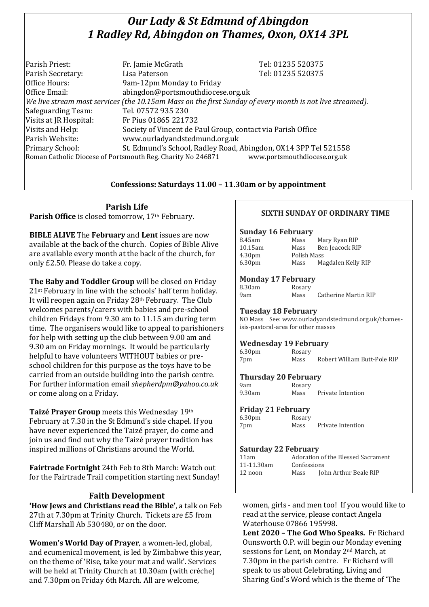# *Our Lady & St Edmund of Abingdon 1 Radley Rd, Abingdon on Thames, Oxon, OX14 3PL*

| Parish Priest:                                                                                           | Fr. Jamie McGrath                                               | Tel: 01235 520375 |  |
|----------------------------------------------------------------------------------------------------------|-----------------------------------------------------------------|-------------------|--|
| Parish Secretary:                                                                                        | Lisa Paterson                                                   | Tel: 01235 520375 |  |
| Office Hours:                                                                                            | 9am-12pm Monday to Friday                                       |                   |  |
| Office Email:                                                                                            | abingdon@portsmouthdiocese.org.uk                               |                   |  |
| We live stream most services (the 10.15am Mass on the first Sunday of every month is not live streamed). |                                                                 |                   |  |
| Safeguarding Team:                                                                                       | Tel. 07572 935 230                                              |                   |  |
| Visits at JR Hospital:                                                                                   | Fr Pius 01865 221732                                            |                   |  |
| Visits and Help:                                                                                         | Society of Vincent de Paul Group, contact via Parish Office     |                   |  |
| Parish Website:                                                                                          | www.ourladyandstedmund.org.uk                                   |                   |  |
| Primary School:                                                                                          | St. Edmund's School, Radley Road, Abingdon, OX14 3PP Tel 521558 |                   |  |
| www.portsmouthdiocese.org.uk<br>Roman Catholic Diocese of Portsmouth Reg. Charity No 246871              |                                                                 |                   |  |

### **Confessions: Saturdays 11.00 – 11.30am or by appointment**

**Parish Life**

Parish Office is closed tomorrow, 17<sup>th</sup> February.

**BIBLE ALIVE** The **February** and **Lent** issues are now available at the back of the church. Copies of Bible Alive are available every month at the back of the church, for only £2.50. Please do take a copy.

**The Baby and Toddler Group** will be closed on Friday 21st February in line with the schools' half term holiday. It will reopen again on Friday 28th February. The Club welcomes parents/carers with babies and pre-school children Fridays from 9.30 am to 11.15 am during term time. The organisers would like to appeal to parishioners for help with setting up the club between 9.00 am and 9.30 am on Friday mornings. It would be particularly helpful to have volunteers WITHOUT babies or preschool children for this purpose as the toys have to be carried from an outside building into the parish centre. For further information email *shepherdpm@yahoo.co.uk* or come along on a Friday.

**Taizé Prayer Group** meets this Wednesday 19th February at 7.30 in the St Edmund's side chapel. If you have never experienced the Taizé prayer, do come and join us and find out why the Taizé prayer tradition has inspired millions of Christians around the World.

**Fairtrade Fortnight** 24th Feb to 8th March: Watch out for the Fairtrade Trail competition starting next Sunday!

## **Faith Development**

**'How Jews and Christians read the Bible'**, a talk on Feb 27th at 7.30pm at Trinity Church. Tickets are £5 from Cliff Marshall Ab 530480, or on the door.

**Women's World Day of Prayer**, a women-led, global, and ecumenical movement, is led by Zimbabwe this year, on the theme of 'Rise, take your mat and walk'. Services will be held at Trinity Church at 10.30am (with crèche) and 7.30pm on Friday 6th March. All are welcome,

### **SIXTH SUNDAY OF ORDINARY TIME**

#### **Sunday 16 February**

| 8.45am             | Mass        | Mary Ryan RIP      |
|--------------------|-------------|--------------------|
| 10.15am            | Mass        | Ben Jeacock RIP    |
| 4.30 <sub>pm</sub> | Polish Mass |                    |
| 6.30 <sub>pm</sub> | Mass        | Magdalen Kelly RIP |

#### **Monday 17 February**

| 8.30am | Rosary |                      |
|--------|--------|----------------------|
| 9am    | Mass   | Catherine Martin RIP |

#### **Tuesday 18 February**

NO Mass See: www.ourladyandstedmund.org.uk/thamesisis-pastoral-area for other masses

#### **Wednesday 19 February**

6.30pm Rosary 7pm Mass Robert William Butt-Pole RIP

#### **Thursday 20 February**

| 9am    | Rosary |                   |
|--------|--------|-------------------|
| 9.30am | Mass   | Private Intention |

#### **Friday 21 February**

6.30pm Rosary 7pm Mass Private Intention

| <b>Saturday 22 February</b> |                                    |                       |  |  |
|-----------------------------|------------------------------------|-----------------------|--|--|
| 11am                        | Adoration of the Blessed Sacrament |                       |  |  |
| 11-11.30am                  | Confessions                        |                       |  |  |
| 12 noon                     | Mass                               | John Arthur Beale RIP |  |  |

women, girls - and men too! If you would like to read at the service, please contact Angela Waterhouse 07866 195998.

**Lent 2020 – The God Who Speaks.** Fr Richard Ounsworth O.P. will begin our Monday evening sessions for Lent, on Monday 2nd March, at 7.30pm in the parish centre. Fr Richard will speak to us about Celebrating, Living and Sharing God's Word which is the theme of 'The